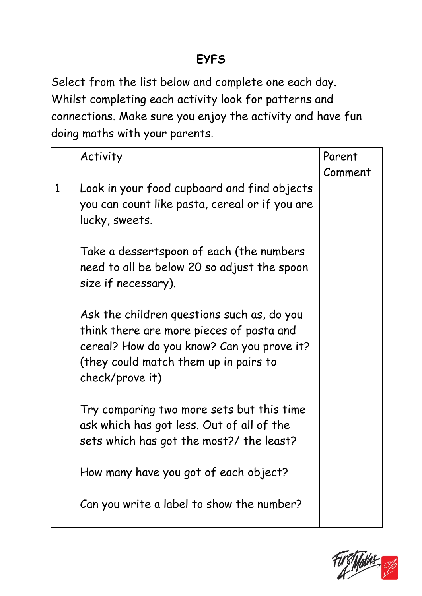## **EYFS**

Select from the list below and complete one each day. Whilst completing each activity look for patterns and connections. Make sure you enjoy the activity and have fun doing maths with your parents.

|              | Activity                                                                                                                                                                                         | Parent  |
|--------------|--------------------------------------------------------------------------------------------------------------------------------------------------------------------------------------------------|---------|
|              |                                                                                                                                                                                                  | Comment |
| $\mathbf{1}$ | Look in your food cupboard and find objects<br>you can count like pasta, cereal or if you are<br>lucky, sweets.                                                                                  |         |
|              | Take a dessertspoon of each (the numbers<br>need to all be below 20 so adjust the spoon<br>size if necessary).                                                                                   |         |
|              | Ask the children questions such as, do you<br>think there are more pieces of pasta and<br>cereal? How do you know? Can you prove it?<br>(they could match them up in pairs to<br>check/prove it) |         |
|              | Try comparing two more sets but this time<br>ask which has got less. Out of all of the<br>sets which has got the most?/ the least?                                                               |         |
|              | How many have you got of each object?                                                                                                                                                            |         |
|              | Can you write a label to show the number?                                                                                                                                                        |         |

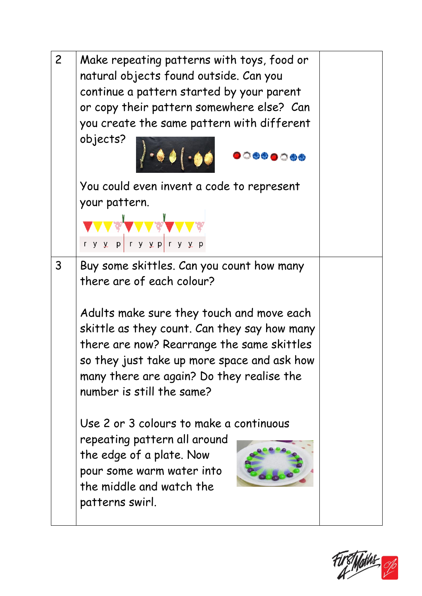

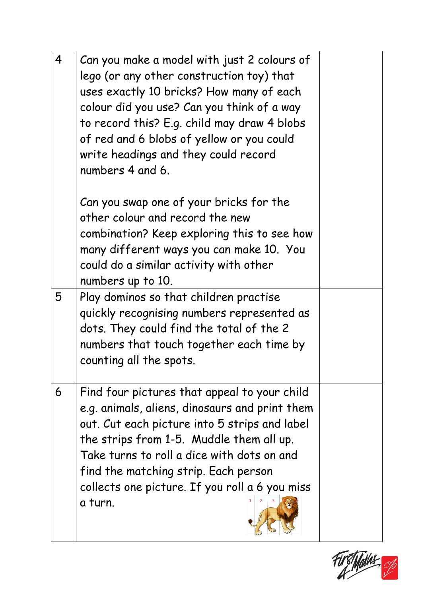| $\overline{4}$ | Can you make a model with just 2 colours of<br>lego (or any other construction toy) that<br>uses exactly 10 bricks? How many of each<br>colour did you use? Can you think of a way<br>to record this? E.g. child may draw 4 blobs<br>of red and 6 blobs of yellow or you could<br>write headings and they could record<br>numbers 4 and 6.     |  |
|----------------|------------------------------------------------------------------------------------------------------------------------------------------------------------------------------------------------------------------------------------------------------------------------------------------------------------------------------------------------|--|
|                | Can you swap one of your bricks for the<br>other colour and record the new<br>combination? Keep exploring this to see how<br>many different ways you can make 10. You<br>could do a similar activity with other<br>numbers up to 10.                                                                                                           |  |
| 5              | Play dominos so that children practise<br>quickly recognising numbers represented as<br>dots. They could find the total of the 2<br>numbers that touch together each time by<br>counting all the spots.                                                                                                                                        |  |
| 6              | Find four pictures that appeal to your child<br>e.g. animals, aliens, dinosaurs and print them<br>out. Cut each picture into 5 strips and label<br>the strips from 1-5. Muddle them all up.<br>Take turns to roll a dice with dots on and<br>find the matching strip. Each person<br>collects one picture. If you roll a 6 you miss<br>a turn. |  |

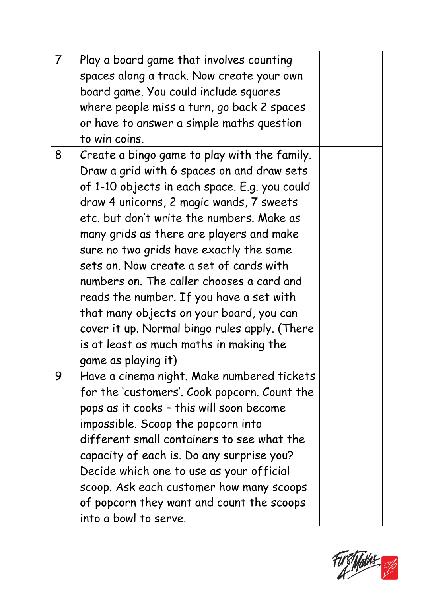| $\overline{7}$ | Play a board game that involves counting<br>spaces along a track. Now create your own<br>board game. You could include squares<br>where people miss a turn, go back 2 spaces<br>or have to answer a simple maths question<br>to win coins.                                                                                                                                                                                                                                                                                                                                                                                     |  |
|----------------|--------------------------------------------------------------------------------------------------------------------------------------------------------------------------------------------------------------------------------------------------------------------------------------------------------------------------------------------------------------------------------------------------------------------------------------------------------------------------------------------------------------------------------------------------------------------------------------------------------------------------------|--|
| 8              | Create a bingo game to play with the family.<br>Draw a grid with 6 spaces on and draw sets<br>of 1-10 objects in each space. E.g. you could<br>draw 4 unicorns, 2 magic wands, 7 sweets<br>etc. but don't write the numbers. Make as<br>many grids as there are players and make<br>sure no two grids have exactly the same<br>sets on. Now create a set of cards with<br>numbers on. The caller chooses a card and<br>reads the number. If you have a set with<br>that many objects on your board, you can<br>cover it up. Normal bingo rules apply. (There<br>is at least as much maths in making the<br>game as playing it) |  |
| 9              | Have a cinema night. Make numbered tickets<br>for the 'customers'. Cook popcorn. Count the<br>pops as it cooks - this will soon become<br>impossible. Scoop the popcorn into<br>different small containers to see what the<br>capacity of each is. Do any surprise you?<br>Decide which one to use as your official<br>scoop. Ask each customer how many scoops<br>of popcorn they want and count the scoops<br>into a bowl to serve.                                                                                                                                                                                          |  |

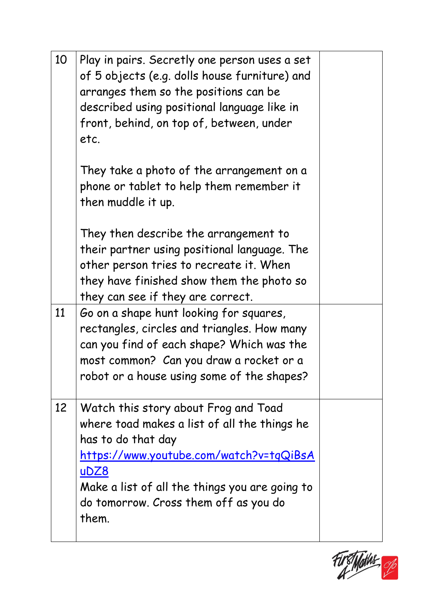| Play in pairs. Secretly one person uses a set<br>of 5 objects (e.g. dolls house furniture) and<br>arranges them so the positions can be<br>described using positional language like in<br>front, behind, on top of, between, under<br>etc.                        |  |
|-------------------------------------------------------------------------------------------------------------------------------------------------------------------------------------------------------------------------------------------------------------------|--|
| They take a photo of the arrangement on a<br>phone or tablet to help them remember it<br>then muddle it up.                                                                                                                                                       |  |
| They then describe the arrangement to<br>their partner using positional language. The<br>other person tries to recreate it. When<br>they have finished show them the photo so<br>they can see if they are correct.                                                |  |
| Go on a shape hunt looking for squares,<br>rectangles, circles and triangles. How many<br>can you find of each shape? Which was the<br>most common? Can you draw a rocket or a<br>robot or a house using some of the shapes?                                      |  |
| Watch this story about Frog and Toad<br>where toad makes a list of all the things he<br>has to do that day<br>https://www.youtube.com/watch?v=tqQiBsA<br>uDZ8<br>Make a list of all the things you are going to<br>do tomorrow. Cross them off as you do<br>them. |  |
|                                                                                                                                                                                                                                                                   |  |

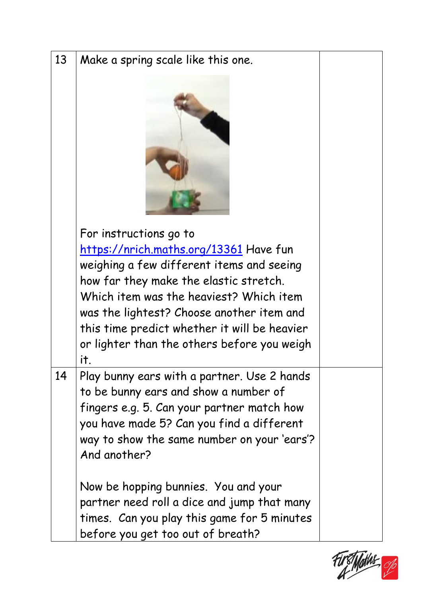| 13 | Make a spring scale like this one.                                                                                                                                                                                                                                                                                                                           |  |
|----|--------------------------------------------------------------------------------------------------------------------------------------------------------------------------------------------------------------------------------------------------------------------------------------------------------------------------------------------------------------|--|
|    | For instructions go to<br><u>https://nrich.maths.org/13361</u> Have fun<br>weighing a few different items and seeing<br>how far they make the elastic stretch.<br>Which item was the heaviest? Which item<br>was the lightest? Choose another item and<br>this time predict whether it will be heavier<br>or lighter than the others before you weigh<br>it, |  |
| 14 | Play bunny ears with a partner. Use 2 hands<br>to be bunny ears and show a number of<br>fingers e.g. 5. Can your partner match how<br>you have made 5? Can you find a different<br>way to show the same number on your 'ears'?<br>And another?<br>Now be hopping bunnies. You and your<br>partner need roll a dice and jump that many                        |  |
|    | times. Can you play this game for 5 minutes<br>before you get too out of breath?                                                                                                                                                                                                                                                                             |  |

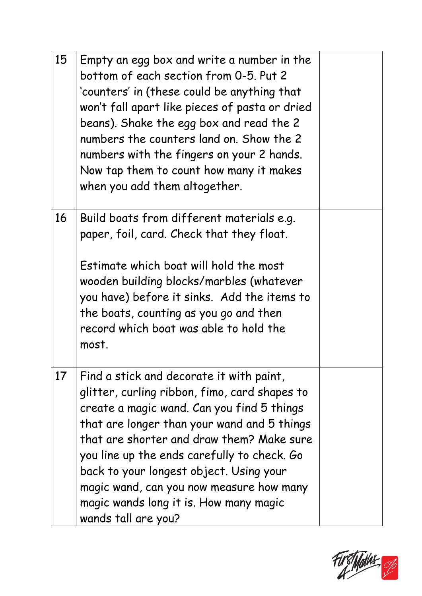| 15 | Empty an egg box and write a number in the<br>bottom of each section from 0-5. Put 2<br>'counters' in (these could be anything that<br>won't fall apart like pieces of pasta or dried<br>beans). Shake the egg box and read the 2<br>numbers the counters land on. Show the 2<br>numbers with the fingers on your 2 hands.<br>Now tap them to count how many it makes<br>when you add them altogether.                                     |  |
|----|--------------------------------------------------------------------------------------------------------------------------------------------------------------------------------------------------------------------------------------------------------------------------------------------------------------------------------------------------------------------------------------------------------------------------------------------|--|
| 16 | Build boats from different materials e.g.<br>paper, foil, card. Check that they float.<br>Estimate which boat will hold the most<br>wooden building blocks/marbles (whatever<br>you have) before it sinks. Add the items to<br>the boats, counting as you go and then<br>record which boat was able to hold the<br>most.                                                                                                                   |  |
| 17 | Find a stick and decorate it with paint,<br>glitter, curling ribbon, fimo, card shapes to<br>create a magic wand. Can you find 5 things<br>that are longer than your wand and 5 things<br>that are shorter and draw them? Make sure<br>you line up the ends carefully to check. Go<br>back to your longest object. Using your<br>magic wand, can you now measure how many<br>magic wands long it is. How many magic<br>wands tall are you? |  |